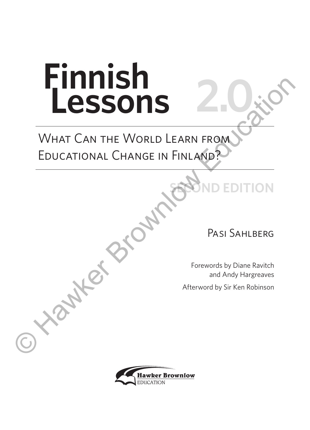# **2.0 Finnish Lessons**

**ONNEW R** 

WHAT CAN THE WORLD LEARN FROM Educational Change in Finland?

PASI SAHLBERG

Forewords by Diane Ravitch and Andy Hargreaves Afterword by Sir Ken Robinson

**SECOND EDITION** 

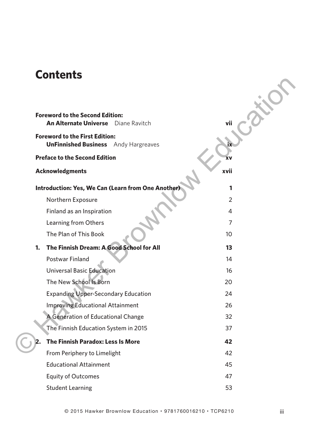# **Contents**

|    | <b>Foreword to the Second Edition:</b><br><b>An Alternate Universe</b> Diane Ravitch | vii  |  |
|----|--------------------------------------------------------------------------------------|------|--|
|    | <b>Foreword to the First Edition:</b><br><b>UnFinnished Business</b> Andy Hargreaves |      |  |
|    | <b>Preface to the Second Edition</b>                                                 | XV   |  |
|    | <b>Acknowledgments</b>                                                               | xvii |  |
|    | Introduction: Yes, We Can (Learn from One Another)                                   | 1    |  |
|    | Northern Exposure                                                                    | 2    |  |
|    | Finland as an Inspiration                                                            | 4    |  |
|    | Learning from Others                                                                 | 7    |  |
|    | The Plan of This Book                                                                | 10   |  |
| 1. | The Finnish Dream: A Good School for All                                             | 13   |  |
|    | <b>Postwar Finland</b>                                                               | 14   |  |
|    | <b>Universal Basic Education</b>                                                     | 16   |  |
|    | The New School Is Born                                                               | 20   |  |
|    | <b>Expanding Upper-Secondary Education</b>                                           | 24   |  |
|    | <b>Improving Educational Attainment</b>                                              | 26   |  |
|    | A Generation of Educational Change                                                   | 32   |  |
|    | The Finnish Education System in 2015                                                 | 37   |  |
|    | The Finnish Paradox: Less Is More                                                    | 42   |  |
|    | From Periphery to Limelight                                                          | 42   |  |
|    | <b>Educational Attainment</b>                                                        | 45   |  |
|    | <b>Equity of Outcomes</b>                                                            | 47   |  |
|    | <b>Student Learning</b>                                                              | 53   |  |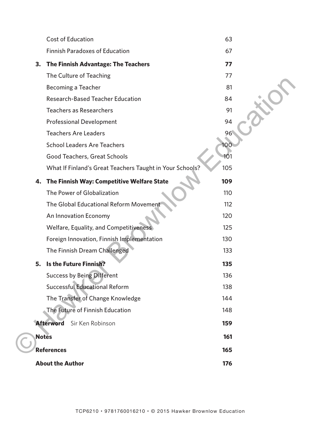|              |    | <b>Cost of Education</b>                                 | 63  |
|--------------|----|----------------------------------------------------------|-----|
|              |    | <b>Finnish Paradoxes of Education</b>                    | 67  |
|              | 3. | The Finnish Advantage: The Teachers                      | 77  |
|              |    | The Culture of Teaching                                  | 77  |
|              |    | <b>Becoming a Teacher</b>                                | 81  |
|              |    | <b>Research-Based Teacher Education</b>                  | 84  |
|              |    | <b>Teachers as Researchers</b>                           | 91  |
|              |    | <b>Professional Development</b>                          | 94  |
|              |    | <b>Teachers Are Leaders</b>                              | 96  |
|              |    | <b>School Leaders Are Teachers</b>                       | 100 |
|              |    | Good Teachers, Great Schools                             | 101 |
|              |    | What If Finland's Great Teachers Taught in Your Schools? | 105 |
|              | 4. | The Finnish Way: Competitive Welfare State               | 109 |
|              |    | The Power of Globalization                               | 110 |
|              |    | The Global Educational Reform Movement                   | 112 |
|              |    | An Innovation Economy                                    | 120 |
|              |    | Welfare, Equality, and Competitiveness                   | 125 |
|              |    | Foreign Innovation, Finnish Implementation               | 130 |
|              |    | The Finnish Dream Challenged                             | 133 |
|              | 5. | <b>Is the Future Finnish?</b>                            | 135 |
|              |    | <b>Success by Being Different</b>                        | 136 |
|              |    | <b>Successful Educational Reform</b>                     | 138 |
|              |    | The Transfer of Change Knowledge                         | 144 |
|              |    | The Future of Finnish Education                          | 148 |
|              |    | Afterword Sir Ken Robinson                               | 159 |
| <b>Notes</b> |    |                                                          | 161 |
|              |    | <b>References</b>                                        | 165 |
|              |    | <b>About the Author</b>                                  | 176 |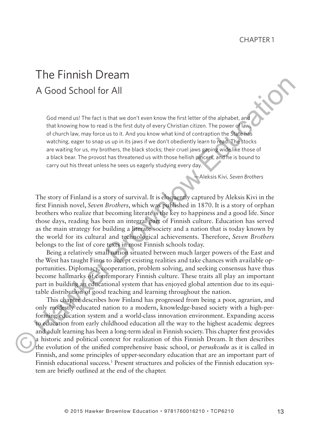## The Finnish Dream A Good School for All

God mend us! The fact is that we don't even know the first letter of the alphabet, and that knowing how to read is the first duty of every Christian citizen. The power of law, of church law, may force us to it. And you know what kind of contraption the State has watching, eager to snap us up in its jaws if we don't obediently learn to read. The stocks are waiting for us, my brothers, the black stocks; their cruel jaws gaping wide like those of a black bear. The provost has threatened us with those hellish pincers, and he is bound to carry out his threat unless he sees us eagerly studying every day.

—Aleksis Kivi, *Seven Brothers*

The story of Finland is a story of survival. It is eloquently captured by Aleksis Kivi in the first Finnish novel, *Seven Brothers*, which was published in 1870. It is a story of orphan brothers who realize that becoming literate is the key to happiness and a good life. Since those days, reading has been an integral part of Finnish culture. Education has served as the main strategy for building a literate society and a nation that is today known by the world for its cultural and technological achievements. Therefore, *Seven Brothers* belongs to the list of core texts in most Finnish schools today.

Being a relatively small nation situated between much larger powers of the East and the West has taught Finns to accept existing realities and take chances with available opportunities. Diplomacy, cooperation, problem solving, and seeking consensus have thus become hallmarks of contemporary Finnish culture. These traits all play an important part in building an educational system that has enjoyed global attention due to its equitable distribution of good teaching and learning throughout the nation.

This chapter describes how Finland has progressed from being a poor, agrarian, and only modestly educated nation to a modern, knowledge- based society with a high-performing education system and a world-class innovation environment. Expanding access to education from early childhood education all the way to the highest academic degrees and adult learning has been a long-term ideal in Finnish society. This chapter first provides a historic and political context for realization of this Finnish Dream. It then describes the evolution of the unified comprehensive basic school, or *peruskoulu* as it is called in Finnish, and some principles of upper- secondary education that are an important part of Finnish educational success.<sup>1</sup> Present structures and policies of the Finnish education system are briefly outlined at the end of the chapter. A Good School for All<br>
Society and the fluid the state of the state and the state of the state of the state and<br>
the thrownlow boreal the first tett of the state and the state of the state of<br>
the durch law, may force us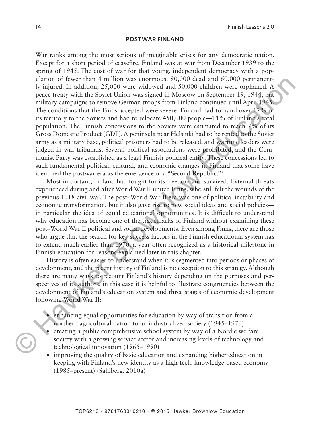### **POSTWAR FINLAND**

War ranks among the most serious of imaginable crises for any democratic nation. Except for a short period of ceasefire, Finland was at war from December 1939 to the spring of 1945. The cost of war for that young, independent democracy with a population of fewer than 4 million was enormous: 90,000 dead and 60,000 permanently injured. In addition, 25,000 were widowed and 50,000 children were orphaned. A peace treaty with the Soviet Union was signed in Moscow on September 19, 1944, but military campaigns to remove German troops from Finland continued until April 1945. The conditions that the Finns accepted were severe. Finland had to hand over 12% of its territory to the Soviets and had to relocate 450,000 people—11% of Finland's total population. The Finnish concessions to the Soviets were estimated to reach 7% of its Gross Domestic Product (GDP). A peninsula near Helsinki had to be rented to the Soviet army as a military base, political prisoners had to be released, and wartime leaders were judged in war tribunals. Several political associations were prohibited, and the Communist Party was established as a legal Finnish political entity. These concessions led to such fundamental political, cultural, and economic changes in Finland that some have identified the postwar era as the emergence of a "Second Republic."<sup>2</sup> ulation of tever than 4 million was enormains 20,0000 detailed and 60,000 permanent-<br>hy injured. In addition, 25,000 were widowed and 50,000 diddren were orphaned. A<br>pasce treaty with the soviet Union was signed in Moscov

Most important, Finland had fought for its freedom and survived. External threats experienced during and after World War II united Finns, who still felt the wounds of the previous 1918 civil war. The post–World War II era was one of political instability and economic transformation, but it also gave rise to new social ideas and social policies in particular the idea of equal educational opportunities. It is difficult to understand why education has become one of the trademarks of Finland without examining these post–World War II political and social developments. Even among Finns, there are those who argue that the search for key success factors in the Finnish educational system has to extend much earlier than 1970, a year often recognized as a historical milestone in Finnish education for reasons explained later in this chapter.

History is often easier to understand when it is segmented into periods or phases of development, and the recent history of Finland is no exception to this strategy. Although there are many ways to recount Finland's history depending on the purposes and perspectives of its authors, in this case it is helpful to illustrate congruencies between the development of Finland's education system and three stages of economic development following World War II:

- enhancing equal opportunities for education by way of transition from a northern agricultural nation to an industrialized society (1945–1970)
- creating a public comprehensive school system by way of a Nordic welfare society with a growing service sector and increasing levels of technology and technological innovation (1965–1990)
- improving the quality of basic education and expanding higher education in keeping with Finland's new identity as a high-tech, knowledge-based economy (1985–present) (Sahlberg, 2010a)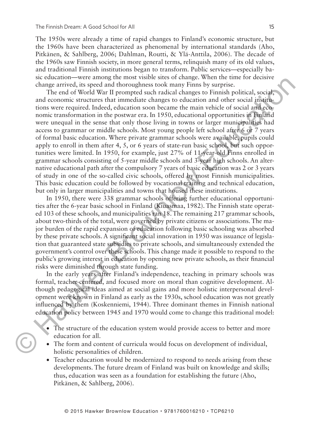The 1950s were already a time of rapid changes to Finland's economic structure, but the 1960s have been characterized as phenomenal by international standards (Aho, Pitkänen, & Sahlberg, 2006; Dahlman, Routti, & Ylä-Anttila, 2006). The decade of the 1960s saw Finnish society, in more general terms, relinquish many of its old values, and traditional Finnish institutions began to transform. Public services—especially basic education—were among the most visible sites of change. When the time for decisive change arrived, its speed and thoroughness took many Finns by surprise.

The end of World War II prompted such radical changes to Finnish political, social, and economic structures that immediate changes to education and other social institutions were required. Indeed, education soon became the main vehicle of social and economic transformation in the postwar era. In 1950, educational opportunities in Finland were unequal in the sense that only those living in towns or larger municipalities had access to grammar or middle schools. Most young people left school after 6 or 7 years of formal basic education. Where private grammar schools were available, pupils could apply to enroll in them after 4, 5, or 6 years of state-run basic school, but such opportunities were limited. In 1950, for example, just 27% of 11-year-old Finns enrolled in grammar schools consisting of 5-year middle schools and 3-year high schools. An alternative educational path after the compulsory 7 years of basic education was 2 or 3 years of study in one of the so-called civic schools, offered by most Finnish municipalities. This basic education could be followed by vocational training and technical education, but only in larger municipalities and towns that housed these institutions. se conceaning we have a smoll in the matrix and conceaning we have a smoll in the end of World War II promption of ndical changes to Finish political, social and conomic structures that inimiddiate changes to Finish politi

In 1950, there were 338 grammar schools offering further educational opportunities after the 6-year basic school in Finland (Kiuasmaa, 1982). The Finnish state operated 103 of these schools, and municipalities ran 18. The remaining 217 grammar schools, about two-thirds of the total, were governed by private citizens or associations. The major burden of the rapid expansion of education following basic schooling was absorbed by these private schools. A significant social innovation in 1950 was issuance of legislation that guaranteed state subsidies to private schools, and simultaneously extended the government's control over these schools. This change made it possible to respond to the public's growing interest in education by opening new private schools, as their financial risks were diminished through state funding.

In the early years after Finland's independence, teaching in primary schools was formal, teacher-centered, and focused more on moral than cognitive development. Although pedagogical ideas aimed at social gains and more holistic interpersonal development were known in Finland as early as the 1930s, school education was not greatly influenced by them (Koskenniemi, 1944). Three dominant themes in Finnish national education policy between 1945 and 1970 would come to change this traditional model:

- The structure of the education system would provide access to better and more education for all.
- The form and content of curricula would focus on development of individual, holistic personalities of children.
- Teacher education would be modernized to respond to needs arising from these developments. The future dream of Finland was built on knowledge and skills; thus, education was seen as a foundation for establishing the future (Aho, Pitkänen, & Sahlberg, 2006).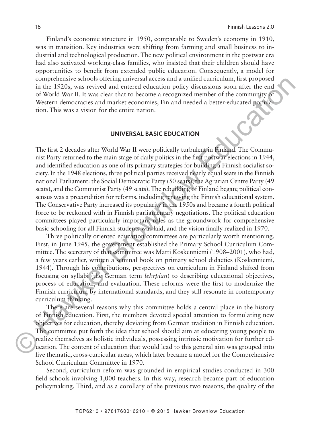Finland's economic structure in 1950, comparable to Sweden's economy in 1910, was in transition. Key industries were shifting from farming and small business to industrial and technological production. The new political environment in the postwar era had also activated working-class families, who insisted that their children should have opportunities to benefi t from extended public education. Consequently, a model for comprehensive schools offering universal access and a unified curriculum, first proposed in the 1920s, was revived and entered education policy discussions soon after the end of World War II. It was clear that to become a recognized member of the community of Western democracies and market economies, Finland needed a better-educated population. This was a vision for the entire nation.

### **UNIVERSAL BASIC EDUCATION**

The first 2 decades after World War II were politically turbulent in Finland. The Communist Party returned to the main stage of daily politics in the first postwar elections in 1944, and identified education as one of its primary strategies for building a Finnish socialist society. In the 1948 elections, three political parties received nearly equal seats in the Finnish national Parliament: the Social Democratic Party (50 seats), the Agrarian Centre Party (49 seats), and the Communist Party (49 seats). The rebuilding of Finland began; political consensus was a precondition for reforms, including renewing the Finnish educational system. The Conservative Party increased its popularity in the 1950s and became a fourth political force to be reckoned with in Finnish parliamentary negotiations. The political education committees played particularly important roles as the groundwork for comprehensive basic schooling for all Finnish students was laid, and the vision finally realized in 1970. competibility and a tend of the computer of the mode of the mode of the mode of the mode of Nordle War II. It was clear that to become a recognized member of the commutity of Wordle War II. It was clear that to become a r

Three politically oriented education committees are particularly worth mentioning. First, in June 1945, the government established the Primary School Curriculum Committee. The secretary of that committee was Matti Koskenniemi (1908–2001), who had, a few years earlier, written a seminal book on primary school didactics (Koskenniemi, 1944)*.* Through his contributions, perspectives on curriculum in Finland shifted from focusing on syllabi (the German term *lehrplan*) to describing educational objectives, process of education, and evaluation. These reforms were the first to modernize the Finnish curriculum by international standards, and they still resonate in contemporary curriculum thinking.

There are several reasons why this committee holds a central place in the history of Finnish education. First, the members devoted special attention to formulating new objectives for education, thereby deviating from German tradition in Finnish education. The committee put forth the idea that school should aim at educating young people to realize themselves as holistic individuals, possessing intrinsic motivation for further education. The content of education that would lead to this general aim was grouped into five thematic, cross-curricular areas, which later became a model for the Comprehensive School Curriculum Committee in 1970.

Second, curriculum reform was grounded in empirical studies conducted in 300 field schools involving 1,000 teachers. In this way, research became part of education policymaking. Third, and as a corollary of the previous two reasons, the quality of the